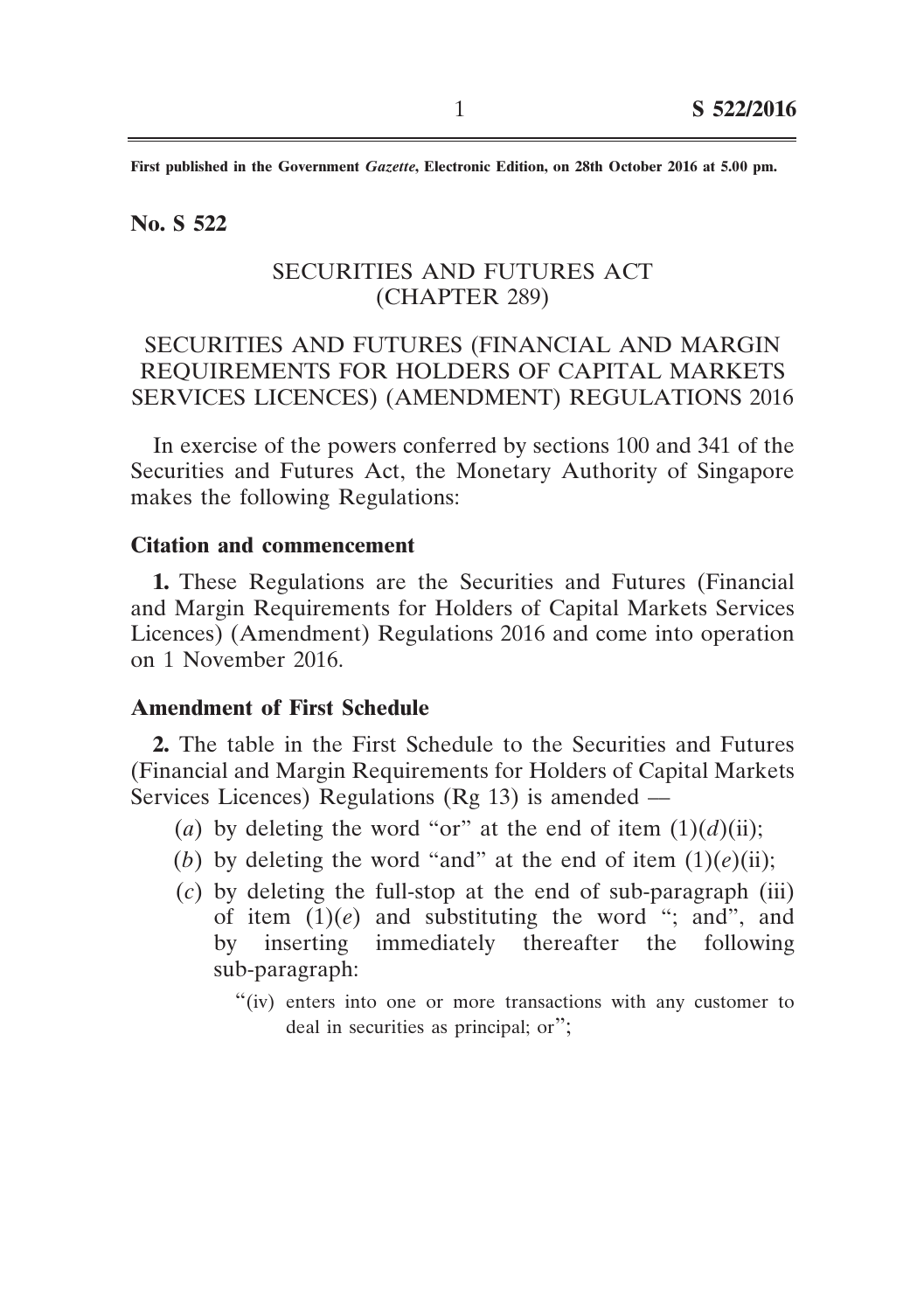**First published in the Government** *Gazette***, Electronic Edition, on 28th October 2016 at 5.00 pm.**

#### **No. S 522**

## SECURITIES AND FUTURES ACT (CHAPTER 289)

# SECURITIES AND FUTURES (FINANCIAL AND MARGIN REQUIREMENTS FOR HOLDERS OF CAPITAL MARKETS SERVICES LICENCES) (AMENDMENT) REGULATIONS 2016

In exercise of the powers conferred by sections 100 and 341 of the Securities and Futures Act, the Monetary Authority of Singapore makes the following Regulations:

## **Citation and commencement**

**1.** These Regulations are the Securities and Futures (Financial and Margin Requirements for Holders of Capital Markets Services Licences) (Amendment) Regulations 2016 and come into operation on 1 November 2016.

#### **Amendment of First Schedule**

**2.** The table in the First Schedule to the Securities and Futures (Financial and Margin Requirements for Holders of Capital Markets Services Licences) Regulations (Rg 13) is amended ––

- (*a*) by deleting the word "or" at the end of item  $(1)(d)(ii)$ ;
- (*b*) by deleting the word "and" at the end of item  $(1)(e)(ii)$ ;
- (*c*) by deleting the full-stop at the end of sub-paragraph (iii) of item  $(1)(e)$  and substituting the word "; and", and by inserting immediately thereafter the following sub-paragraph:
	- "(iv) enters into one or more transactions with any customer to deal in securities as principal; or";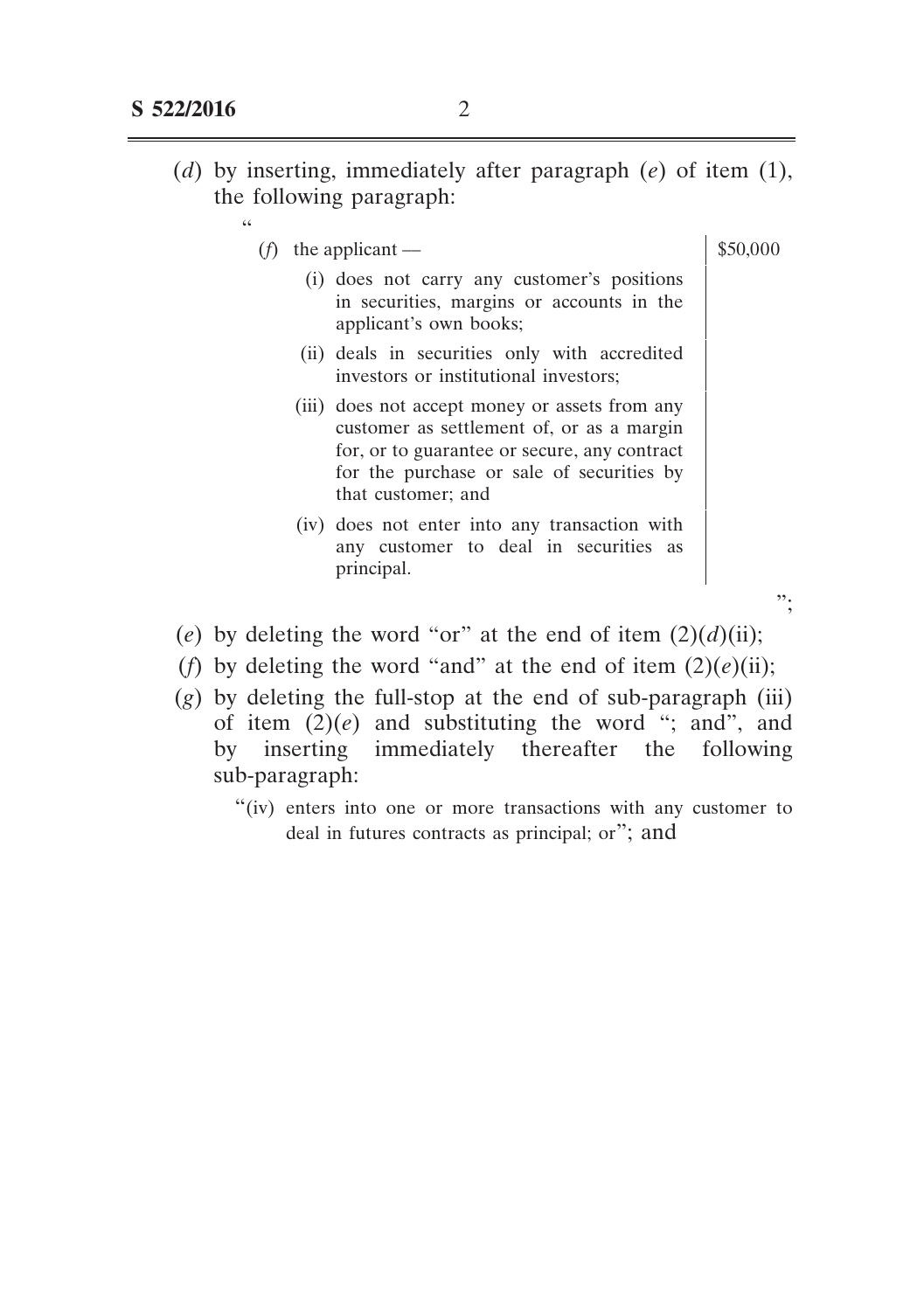"

(*f*) the applicant —  $\qquad$  \$50,000

- (i) does not carry any customer's positions in securities, margins or accounts in the applicant's own books;
- (ii) deals in securities only with accredited investors or institutional investors;
- (iii) does not accept money or assets from any customer as settlement of, or as a margin for, or to guarantee or secure, any contract for the purchase or sale of securities by that customer; and
- (iv) does not enter into any transaction with any customer to deal in securities as principal.

";

- (*e*) by deleting the word "or" at the end of item  $(2)(d)(ii)$ ;
- (*f*) by deleting the word "and" at the end of item  $(2)(e)(ii)$ ;
- $(g)$  by deleting the full-stop at the end of sub-paragraph (iii) of item  $(2)(e)$  and substituting the word "; and", and by inserting immediately thereafter the following sub-paragraph:
	- "(iv) enters into one or more transactions with any customer to deal in futures contracts as principal; or"; and